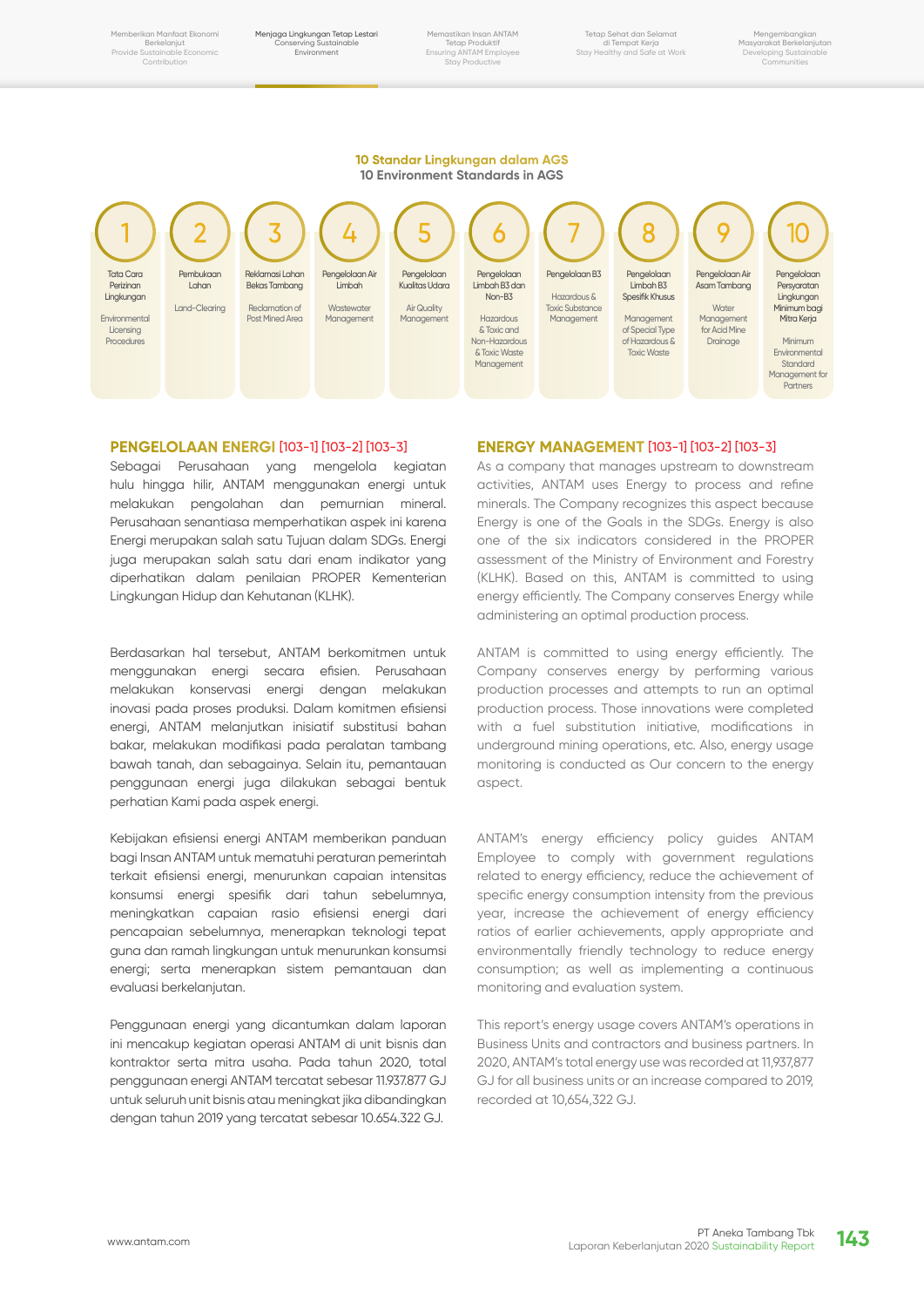Memberikan Manfaat Ekonomi Berkelanjut Provide Sustainable Economic **Contribution** 

Menjaga Lingkungan Tetap Lestari Conserving Sustainable Environment

Memastikan Insan ANTAM Tetap Produktif Ensuring ANTAM Employee Stay Productive

Tetap Sehat dan Selamat di Tempat Kerja Stay Healthy and Safe at Work

Mengembangkan Masyarakat Berkelanjutan Developing Sustainable Communities

#### **10 Standar Lingkungan dalam AGS 10 Environment Standards in AGS**



### **PENGELOLAAN ENERGI** [103-1] [103-2] [103-3]

Sebagai Perusahaan yang mengelola kegiatan hulu hingga hilir, ANTAM menggunakan energi untuk melakukan pengolahan dan pemurnian mineral. Perusahaan senantiasa memperhatikan aspek ini karena Energi merupakan salah satu Tujuan dalam SDGs. Energi juga merupakan salah satu dari enam indikator yang diperhatikan dalam penilaian PROPER Kementerian Lingkungan Hidup dan Kehutanan (KLHK).

Berdasarkan hal tersebut, ANTAM berkomitmen untuk menggunakan energi secara efisien. Perusahaan melakukan konservasi energi dengan melakukan inovasi pada proses produksi. Dalam komitmen efisiensi energi, ANTAM melanjutkan inisiatif substitusi bahan bakar, melakukan modifikasi pada peralatan tambang bawah tanah, dan sebagainya. Selain itu, pemantauan penggunaan energi juga dilakukan sebagai bentuk perhatian Kami pada aspek energi.

Kebijakan efisiensi energi ANTAM memberikan panduan bagi Insan ANTAM untuk mematuhi peraturan pemerintah terkait efisiensi energi, menurunkan capaian intensitas konsumsi energi spesifik dari tahun sebelumnya, meningkatkan capaian rasio efisiensi energi dari pencapaian sebelumnya, menerapkan teknologi tepat guna dan ramah lingkungan untuk menurunkan konsumsi energi; serta menerapkan sistem pemantauan dan evaluasi berkelanjutan.

Penggunaan energi yang dicantumkan dalam laporan ini mencakup kegiatan operasi ANTAM di unit bisnis dan kontraktor serta mitra usaha. Pada tahun 2020, total penggunaan energi ANTAM tercatat sebesar 11.937.877 GJ untuk seluruh unit bisnis atau meningkat jika dibandingkan dengan tahun 2019 yang tercatat sebesar 10.654.322 GJ.

#### **ENERGY MANAGEMENT** [103-1] [103-2] [103-3]

As a company that manages upstream to downstream activities, ANTAM uses Energy to process and refine minerals. The Company recognizes this aspect because Energy is one of the Goals in the SDGs. Energy is also one of the six indicators considered in the PROPER assessment of the Ministry of Environment and Forestry (KLHK). Based on this, ANTAM is committed to using energy efficiently. The Company conserves Energy while administering an optimal production process.

ANTAM is committed to using energy efficiently. The Company conserves energy by performing various production processes and attempts to run an optimal production process. Those innovations were completed with a fuel substitution initiative, modifications in underground mining operations, etc. Also, energy usage monitoring is conducted as Our concern to the energy aspect.

ANTAM's energy efficiency policy guides ANTAM Employee to comply with government regulations related to energy efficiency, reduce the achievement of specific energy consumption intensity from the previous year, increase the achievement of energy efficiency ratios of earlier achievements, apply appropriate and environmentally friendly technology to reduce energy consumption; as well as implementing a continuous monitoring and evaluation system.

This report's energy usage covers ANTAM's operations in Business Units and contractors and business partners. In 2020, ANTAM's total energy use was recorded at 11,937,877 GJ for all business units or an increase compared to 2019, recorded at 10,654,322 GJ.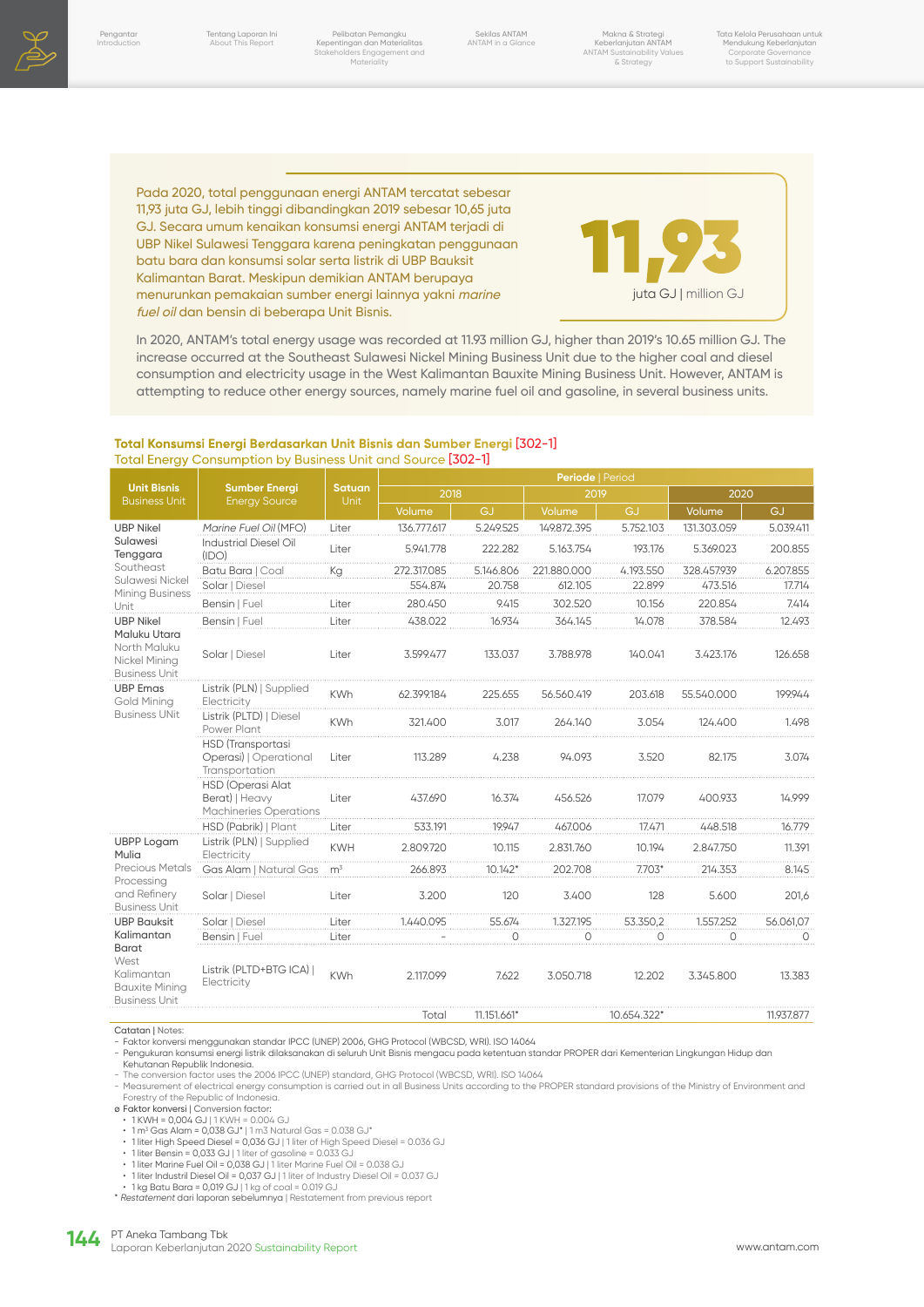

Pelibatan Pemangku Kepentingan dan Materialitas Stakeholders Engagement and Materiality

Sekilas ANTAM ANTAM in a Glance

Makna & Strategi Keberlanjutan ANTAM ANTAM Sustainability Values & Strategy

Tata Kelola Perusahaan untuk Mendukung Keberlanjutan Corporate Governance to Support Sustainability

Pada 2020, total penggunaan energi ANTAM tercatat sebesar 11,93 juta GJ, lebih tinggi dibandingkan 2019 sebesar 10,65 juta GJ. Secara umum kenaikan konsumsi energi ANTAM terjadi di UBP Nikel Sulawesi Tenggara karena peningkatan penggunaan batu bara dan konsumsi solar serta listrik di UBP Bauksit Kalimantan Barat. Meskipun demikian ANTAM berupaya menurunkan pemakaian sumber energi lainnya yakni marine fuel oil dan bensin di beberapa Unit Bisnis.



In 2020, ANTAM's total energy usage was recorded at 11.93 million GJ, higher than 2019's 10.65 million GJ. The increase occurred at the Southeast Sulawesi Nickel Mining Business Unit due to the higher coal and diesel consumption and electricity usage in the West Kalimantan Bauxite Mining Business Unit. However, ANTAM is attempting to reduce other energy sources, namely marine fuel oil and gasoline, in several business units.

#### **Total Konsumsi Energi Berdasarkan Unit Bisnis dan Sumber Energi** [302-1] Total Energy Consumption by Business Unit and Source [302-1]

|                                                                                                                  | <b>Sumber Energi</b><br><b>Energy Source</b>                                | <b>Satuan</b><br><b>Unit</b> | Periode   Period |             |             |             |             |            |  |
|------------------------------------------------------------------------------------------------------------------|-----------------------------------------------------------------------------|------------------------------|------------------|-------------|-------------|-------------|-------------|------------|--|
| <b>Unit Bisnis</b><br><b>Business Unit</b>                                                                       |                                                                             |                              | 2018             |             | 2019        |             | 2020        |            |  |
|                                                                                                                  |                                                                             |                              | Volume           | GJ          | Volume      | GJ          | Volume      | GJ         |  |
| <b>UBP Nikel</b><br>Sulawesi<br>Tenggara<br>Southeast<br>Sulawesi Nickel<br><b>Mining Business</b><br>Unit       | Marine Fuel Oil (MFO)                                                       | Liter                        | 136.777.617      | 5.249.525   | 149.872.395 | 5.752.103   | 131.303.059 | 5.039.411  |  |
|                                                                                                                  | <b>Industrial Diesel Oil</b><br>(IDO)                                       | Liter                        | 5.941.778        | 222.282     | 5.163.754   | 193.176     | 5.369.023   | 200.855    |  |
|                                                                                                                  | Batu Bara   Coal                                                            | Kg                           | 272.317.085      | 5.146.806   | 221.880.000 | 4.193.550   | 328.457.939 | 6.207.855  |  |
|                                                                                                                  | Solar   Diesel                                                              |                              | 554.874          | 20.758      | 612.105     | 22.899      | 473.516     | 17.714     |  |
|                                                                                                                  | Bensin   Fuel                                                               | Liter                        | 280.450          | 9.415       | 302.520     | 10.156      | 220.854     | 7.414      |  |
| <b>UBP Nikel</b><br>Maluku Utara<br>North Maluku<br>Nickel Mining<br><b>Business Unit</b>                        | Bensin   Fuel                                                               | Liter                        | 438.022          | 16.934      | 364.145     | 14.078      | 378.584     | 12.493     |  |
|                                                                                                                  | Solar   Diesel                                                              | Liter                        | 3.599.477        | 133.037     | 3.788.978   | 140.041     | 3.423.176   | 126.658    |  |
| <b>UBP Emas</b><br><b>Gold Mining</b><br><b>Business UNit</b>                                                    | Listrik (PLN)   Supplied<br>Electricity                                     | <b>KWh</b>                   | 62.399.184       | 225.655     | 56,560,419  | 203.618     | 55.540.000  | 199.944    |  |
|                                                                                                                  | Listrik (PLTD)   Diesel<br>Power Plant                                      | <b>KWh</b>                   | 321.400          | 3.017       | 264.140     | 3.054       | 124.400     | 1.498      |  |
|                                                                                                                  | <b>HSD</b> (Transportasi<br>Operasi)   Operational<br>Transportation        | Liter                        | 113.289          | 4.238       | 94.093      | 3.520       | 82.175      | 3.074      |  |
|                                                                                                                  | <b>HSD (Operasi Alat</b><br>Berat)   Heavy<br><b>Machineries Operations</b> | Liter                        | 437.690          | 16.374      | 456.526     | 17.079      | 400.933     | 14.999     |  |
|                                                                                                                  | HSD (Pabrik)   Plant                                                        | Liter                        | 533.191          | 19.947      | 467.006     | 17.471      | 448.518     | 16.779     |  |
| <b>UBPP Logam</b><br>Mulia<br>Precious Metals<br>Processing<br>and Refinery<br><b>Business Unit</b>              | Listrik (PLN)   Supplied<br>Electricity                                     | <b>KWH</b>                   | 2.809.720        | 10.115      | 2.831.760   | 10.194      | 2.847.750   | 11.391     |  |
|                                                                                                                  | Gas Alam   Natural Gas                                                      | m <sup>3</sup>               | 266.893          | $10.142*$   | 202.708     | $7.703*$    | 214.353     | 8.145      |  |
|                                                                                                                  | Solar   Diesel                                                              | Liter                        | 3.200            | 120         | 3.400       | 128         | 5.600       | 201,6      |  |
| <b>UBP Bauksit</b><br>Kalimantan<br>Barat<br>West<br>Kalimantan<br><b>Bauxite Mining</b><br><b>Business Unit</b> | Solar   Diesel                                                              | Liter                        | 1.440.095        | 55.674      | 1.327.195   | 53.350,2    | 1.557.252   | 56.061,07  |  |
|                                                                                                                  | Bensin   Fuel                                                               | Liter                        |                  | $\Omega$    | $\Omega$    | $\bigcap$   | $\Omega$    | $\Omega$   |  |
|                                                                                                                  | Listrik (PLTD+BTG ICA)  <br>Electricity                                     | <b>KWh</b>                   | 2.117.099        | 7.622       | 3.050.718   | 12.202      | 3.345.800   | 13.383     |  |
|                                                                                                                  |                                                                             |                              | Total            | 11.151.661* |             | 10.654.322* |             | 11.937.877 |  |

Catatan | Notes:

- Faktor konversi menggunakan standar IPCC (UNEP) 2006, GHG Protocol (WBCSD, WRI). ISO 14064

- Pengukuran konsumsi energi listrik dilaksanakan di seluruh Unit Bisnis mengacu pada ketentuan standar PROPER dari Kementerian Lingkungan Hidup dan Kehutanan Republik Indonesia.

- The conversion factor uses the 2006 IPCC (UNEP) standard, GHG Protocol (WBCSD, WRI). ISO 14064<br>- Measurement of electrical energy consumption is carried out in all Business Units according to the PROPER standard provisio

- ø Faktor konversi | Conversion factor: 1 KWH = 0,004 GJ | 1 KWH = 0.004 GJ
- 
- 1 m3 Gas Alam = 0,038 GJ\* | 1 m3 Natural Gas = 0.038 GJ\* 1 liter High Speed Diesel = 0,036 GJ | 1 liter of High Speed Diesel = 0.036 GJ
- 
- 1 liter Bensin = 0,033 GJ | 1 liter of gasoline = 0.033 GJ 1 liter Marine Fuel Oil = 0,038 GJ | 1 liter Marine Fuel Oil = 0.038 GJ
- 
- 
- 1 liter Industril Diesel Oil = 0,037 GJ | 1 liter of Industry Diesel Oil = 0.037 GJ 1 kg Batu Bara = 0,019 GJ | 1 kg of coal = 0.019 GJ \* Restatement dari laporan sebelumnya | Restatement from previous report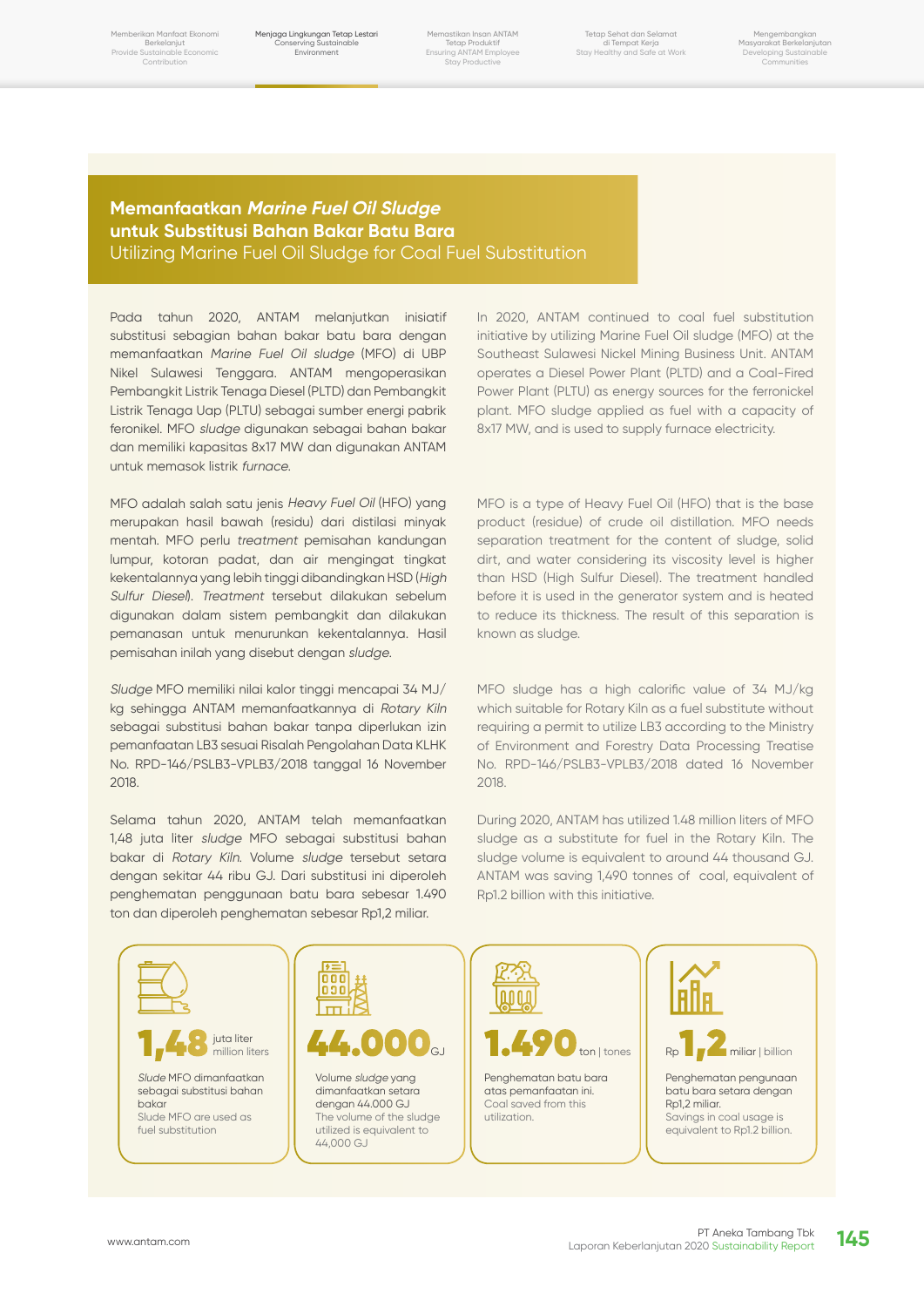Memberikan Manfaat Ekonomi Berkelanjut Provide Sustainable Economic **Contribution** 

Menjaga Lingkungan Tetap Lestari Conserving Sustainable Environment

Memastikan Insan ANTAM Tetap Produktif Ensuring ANTAM Employee Stay Productive

Tetap Sehat dan Selamat di Tempat Kerja Stay Healthy and Safe at Work

Mengembangkan Masyarakat Berkelanjutan Developing Sustainable Communities

# **Memanfaatkan Marine Fuel Oil Sludge untuk Substitusi Bahan Bakar Batu Bara** Utilizing Marine Fuel Oil Sludge for Coal Fuel Substitution

Pada tahun 2020, ANTAM melanjutkan inisiatif substitusi sebagian bahan bakar batu bara dengan memanfaatkan Marine Fuel Oil sludge (MFO) di UBP Nikel Sulawesi Tenggara. ANTAM mengoperasikan Pembangkit Listrik Tenaga Diesel (PLTD) dan Pembangkit Listrik Tenaga Uap (PLTU) sebagai sumber energi pabrik feronikel. MFO sludge digunakan sebagai bahan bakar dan memiliki kapasitas 8x17 MW dan digunakan ANTAM untuk memasok listrik furnace.

MFO adalah salah satu jenis Heavy Fuel Oil (HFO) yang merupakan hasil bawah (residu) dari distilasi minyak mentah. MFO perlu treatment pemisahan kandungan lumpur, kotoran padat, dan air mengingat tingkat kekentalannya yang lebih tinggi dibandingkan HSD (High Sulfur Diesel). Treatment tersebut dilakukan sebelum digunakan dalam sistem pembangkit dan dilakukan pemanasan untuk menurunkan kekentalannya. Hasil pemisahan inilah yang disebut dengan sludge.

Sludge MFO memiliki nilai kalor tinggi mencapai 34 MJ/ kg sehingga ANTAM memanfaatkannya di Rotary Kiln sebagai substitusi bahan bakar tanpa diperlukan izin pemanfaatan LB3 sesuai Risalah Pengolahan Data KLHK No. RPD-146/PSLB3-VPLB3/2018 tanggal 16 November 2018.

Selama tahun 2020, ANTAM telah memanfaatkan 1,48 juta liter sludge MFO sebagai substitusi bahan bakar di Rotary Kiln. Volume sludge tersebut setara dengan sekitar 44 ribu GJ. Dari substitusi ini diperoleh penghematan penggunaan batu bara sebesar 1.490 ton dan diperoleh penghematan sebesar Rp1,2 miliar.

In 2020, ANTAM continued to coal fuel substitution initiative by utilizing Marine Fuel Oil sludge (MFO) at the Southeast Sulawesi Nickel Mining Business Unit. ANTAM operates a Diesel Power Plant (PLTD) and a Coal-Fired Power Plant (PLTU) as energy sources for the ferronickel plant. MFO sludge applied as fuel with a capacity of 8x17 MW, and is used to supply furnace electricity.

MFO is a type of Heavy Fuel Oil (HFO) that is the base product (residue) of crude oil distillation. MFO needs separation treatment for the content of sludge, solid dirt, and water considering its viscosity level is higher than HSD (High Sulfur Diesel). The treatment handled before it is used in the generator system and is heated to reduce its thickness. The result of this separation is known as sludge.

MFO sludge has a high calorific value of 34 MJ/kg which suitable for Rotary Kiln as a fuel substitute without requiring a permit to utilize LB3 according to the Ministry of Environment and Forestry Data Processing Treatise No. RPD-146/PSLB3-VPLB3/2018 dated 16 November 2018.

During 2020, ANTAM has utilized 1.48 million liters of MFO sludge as a substitute for fuel in the Rotary Kiln. The sludge volume is equivalent to around 44 thousand GJ. ANTAM was saving 1,490 tonnes of coal, equivalent of Rp1.2 billion with this initiative.

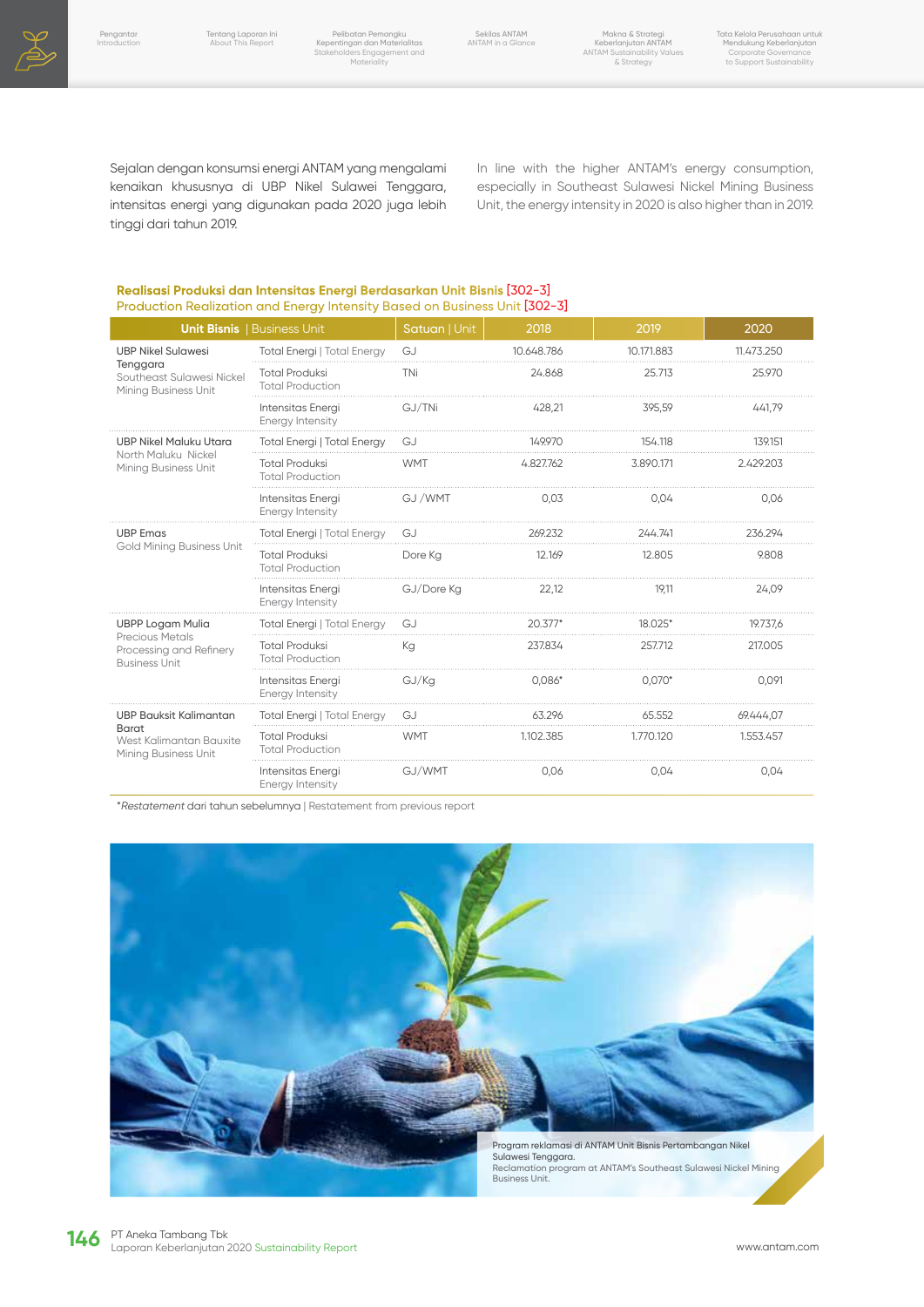

Sekilas ANTAM ANTAM in a Glance

Sejalan dengan konsumsi energi ANTAM yang mengalami kenaikan khususnya di UBP Nikel Sulawei Tenggara, intensitas energi yang digunakan pada 2020 juga lebih tinggi dari tahun 2019.

In line with the higher ANTAM's energy consumption, especially in Southeast Sulawesi Nickel Mining Business Unit, the energy intensity in 2020 is also higher than in 2019.

### **Realisasi Produksi dan Intensitas Energi Berdasarkan Unit Bisnis** [302-3] Production Realization and Energy Intensity Based on Business Unit [302-3]

|                                                                           | <b>Unit Bisnis   Business Unit</b>               | Satuan   Unit  | 2018       | 2019       | 2020       |
|---------------------------------------------------------------------------|--------------------------------------------------|----------------|------------|------------|------------|
| <b>UBP Nikel Sulawesi</b>                                                 | <b>Total Energi   Total Energy</b>               | G <sub>1</sub> | 10.648.786 | 10.171.883 | 11.473.250 |
| Tenggara<br>Southeast Sulawesi Nickel<br>Mining Business Unit             | <b>Total Produksi</b><br><b>Total Production</b> | TNi            | 24.868     | 25.713     | 25,970     |
|                                                                           | Intensitas Energi<br>Energy Intensity            | GJ/TNi         | 428.21     | 395,59     | 441.79     |
| <b>UBP Nikel Maluku Utara</b>                                             | <b>Total Energi   Total Energy</b>               | GJ             | 149.970    | 154.118    | 139,151    |
| North Maluku Nickel<br>Mining Business Unit                               | <b>Total Produksi</b><br><b>Total Production</b> | <b>WMT</b>     | 4.827.762  | 3.890.171  | 2.429.203  |
|                                                                           | Intensitas Energi<br>Energy Intensity            | GJ /WMT        | 0,03       | 0,04       | 0,06       |
| <b>UBP Emas</b>                                                           | <b>Total Energi   Total Energy</b>               | G.             | 269.232    | 244.741    | 236.294    |
| <b>Gold Mining Business Unit</b>                                          | <b>Total Produksi</b><br><b>Total Production</b> | Dore Ka        | 12.169     | 12.805     | 9.808      |
|                                                                           | Intensitas Energi<br>Energy Intensity            | GJ/Dore Kg     | 22,12      | 19,11      | 24,09      |
| <b>UBPP Logam Mulia</b>                                                   | <b>Total Energi   Total Energy</b>               | G.             | $20.377*$  | 18.025*    | 19.737.6   |
| <b>Precious Metals</b><br>Processing and Refinery<br><b>Business Unit</b> | <b>Total Produksi</b><br><b>Total Production</b> | Кa             | 237.834    | 257.712    | 217,005    |
|                                                                           | Intensitas Energi<br>Energy Intensity            | GJ/Kq          | $0,086*$   | $0,070*$   | 0,091      |
| <b>UBP Bauksit Kalimantan</b>                                             | <b>Total Energi   Total Energy</b>               | G <sub>1</sub> | 63.296     | 65.552     | 69.444,07  |
| <b>Barat</b><br>West Kalimantan Bauxite<br>Mining Business Unit           | <b>Total Produksi</b><br><b>Total Production</b> | <b>WMT</b>     | 1.102.385  | 1.770.120  | 1.553.457  |
|                                                                           | Intensitas Energi<br>Energy Intensity            | GJ/WMT         | 0.06       | 0,04       | 0.04       |

\*Restatement dari tahun sebelumnya | Restatement from previous report